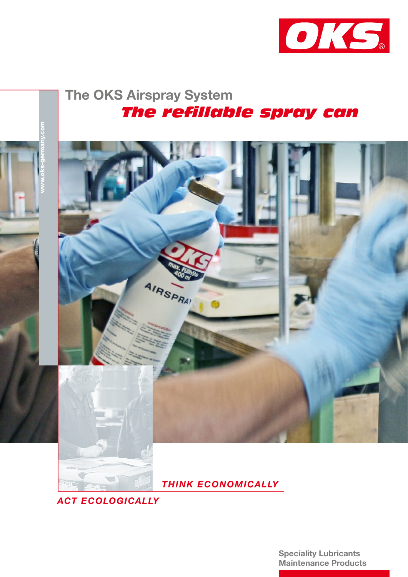

The OKS Airspray System  *The refillable spray can*



 *THINK ECONOMICALLY*

*ACT ECOLOGICALLY*

Speciality Lubricants Maintenance Products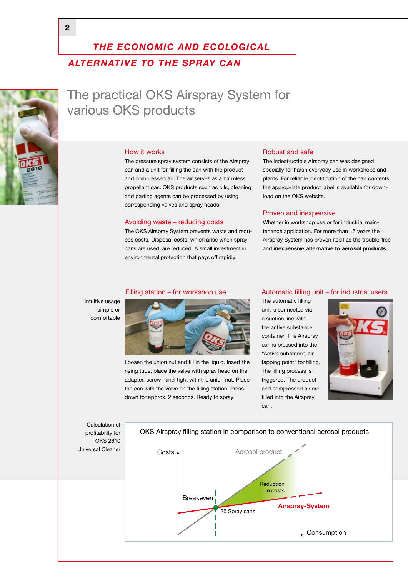## *THE ECONOMIC AND ECOLOGICAL ALTERNATIVE TO THE SPRAY CAN*



The practical OKS Airspray System for various OKS products

#### How it works

The pressure spray system consists of the Airspray can and a unit for filling the can with the product and compressed air. The air serves as a harmless propellant gas. OKS products such as oils, cleaning and parting agents can be processed by using corresponding valves and spray heads.

#### Avoiding waste – reducing costs

The OKS Airspray System prevents waste and reduces costs. Disposal costs, which arise when spray cans are used, are reduced. A small investment in environmental protection that pays off rapidly.

#### Robust and safe

The indestructible Airspray can was designed specially for harsh everyday use in workshops and plants. For reliable identification of the can contents, the appropriate product label is available for download on the OKS website.

#### Proven and inexpensive

Whether in workshop use or for industrial maintenance application. For more than 15 years the Airspray System has proven itself as the trouble-free and inexpensive alternative to aerosol products.



Loosen the union nut and fill in the liquid. Insert the rising tube, place the valve with spray head on the adapter, screw hand-tight with the union nut. Place the can with the valve on the filling station. Press down for approx. 2 seconds. Ready to spray.

#### Filling station – for workshop use  $\frac{1}{2}$  Automatic filling unit – for industrial users

The automatic filling unit is connected via a suction line with the active substance container. The Airspray can is pressed into the "Active substance-air tapping point" for filling. The filling process is triggered. The product and compressed air are filled into the Airspray can.



Calculation of profitability for OKS 2610 Universal Cleaner

Intuitive usage simple or comfortable

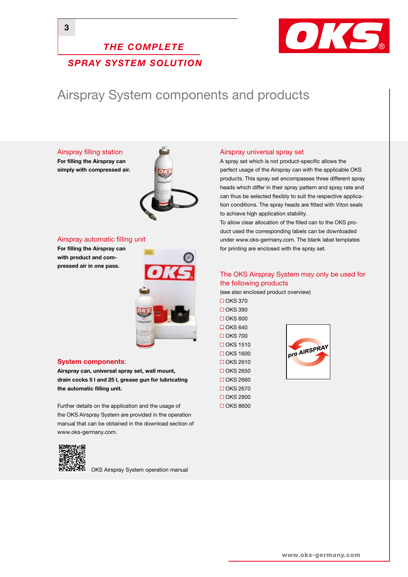### *THE COMPLETE SPRAY SYSTEM SOLUTION*



# Airspray System components and products

Airspray filling station For filling the Airspray can

simply with compressed air.



#### Airspray automatic filling unit

For filling the Airspray can with product and compressed air in one pass.



#### System components:

Airspray can, universal spray set, wall mount, drain cocks 5 l and 25 l, grease gun for lubricating the automatic filling unit.

Further details on the application and the usage of the OKS Airspray System are provided in the operation manual that can be obtained in the download section of www.oks-germany.com.



OKS Airspray System operation manual

#### Airspray universal spray set

A spray set which is not product-specific allows the perfect usage of the Airspray can with the applicable OKS products. This spray set encompasses three different spray heads which differ in their spray pattern and spray rate and can thus be selected flexibly to suit the respective application conditions. The spray heads are fitted with Viton seals to achieve high application stability.

To allow clear allocation of the filled can to the OKS product used the corresponding labels can be downloaded under www.oks-germany.com. The blank label templates for printing are enclosed with the spray set.

### The OKS Airspray System may only be used for the following products

(see also enclosed product overview)

 $\Box$  OKS 370  $\Box$  OKS 390  $\Box$  OKS 600  $\Box$  OKS 640  $\Box$  OKS 700  $\Box$  OKS 1510  $\Box$  OKS 1600  $\Box$  OKS 2610  $\Box$  OKS 2650  $\Box$  OKS 2660  $\Box$  OKS 2670  $\Box$ OKS
2800 OKS 8600

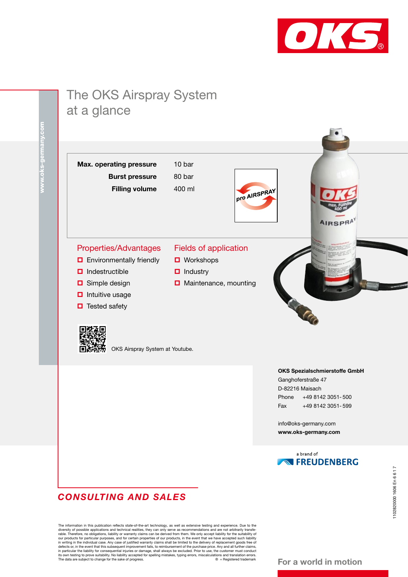

# The OKS Airspray System at a glance

Max. operating pressure 10 bar Burst pressure 80 bar Filling volume 400 ml

Fields of application

**D** Maintenance, mounting

**□** Workshops  $\Box$  Industry



### Properties/Advantages

- **D** Environmentally friendly
- $\Box$  Indestructible
- **□** Simple design
- $\Box$  Intuitive usage
- $\Box$  Tested safety



OKS Airspray System at Youtube.

#### OKS Spezialschmierstoffe GmbH

Ganghoferstraße 47 D-82216 Maisach Phone +49 8142 3051- 500 Fax +49 8142 3051- 599

info@oks-germany.com www.oks-germany.com



### *CONSULTING AND SALES*

The information in this publication reflects state-of-the-art technology, as well as extensive testing and experience. Due to the diversity of possible applications and technical realities, they can only serve as recommend

#### For a world in motion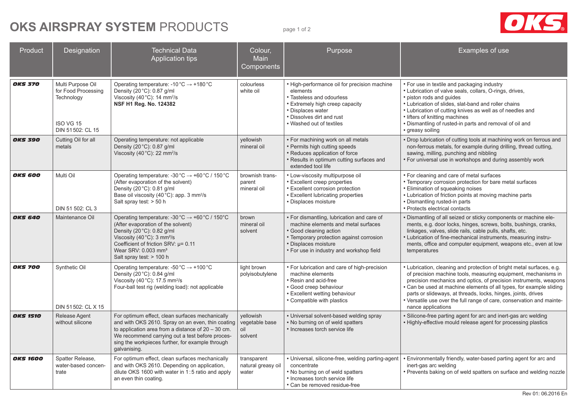# **OKS AIRSPRAY SYSTEM** PRODUCTS page 1 of 2



| Product         | Designation                                                                             | <b>Technical Data</b><br><b>Application tips</b>                                                                                                                                                                                                                                                                     | Colour,<br>Main<br>Components                 | Purpose                                                                                                                                                                                                                          | Examples of use                                                                                                                                                                                                                                                                                                                                                                                                                                     |
|-----------------|-----------------------------------------------------------------------------------------|----------------------------------------------------------------------------------------------------------------------------------------------------------------------------------------------------------------------------------------------------------------------------------------------------------------------|-----------------------------------------------|----------------------------------------------------------------------------------------------------------------------------------------------------------------------------------------------------------------------------------|-----------------------------------------------------------------------------------------------------------------------------------------------------------------------------------------------------------------------------------------------------------------------------------------------------------------------------------------------------------------------------------------------------------------------------------------------------|
| <b>OKS 370</b>  | Multi Purpose Oil<br>for Food Processing<br>Technology<br>ISO VG 15<br>DIN 51502: CL 15 | Operating temperature: -10 $^{\circ}$ C $\rightarrow$ +180 $^{\circ}$ C<br>Density (20 °C): 0.87 g/ml<br>Viscosity (40 °C): 14 mm <sup>2</sup> /s<br>NSF H1 Reg. No. 124382                                                                                                                                          | colourless<br>white oil                       | • High-performance oil for precision machine<br>elements<br>• Tasteless and odourless<br>• Extremely high creep capacity<br>• Displaces water<br>• Dissolves dirt and rust<br>• Washed out of textiles                           | • For use in textile and packaging industry<br>• Lubrication of valve seals, collars, O-rings, drives,<br>• piston rods and guides<br>• Lubrication of slides, slat-band and roller chains<br>• Lubrication of cutting knives as well as of needles and<br>• lifters of knitting machines<br>. Dismantling of rusted-in parts and removal of oil and<br>· greasy soiling                                                                            |
| <b>OKS 390</b>  | Cutting Oil for all<br>metals                                                           | Operating temperature: not applicable<br>Density (20 °C): 0.87 g/ml<br>Viscosity (40 °C): 22 mm <sup>2</sup> /s                                                                                                                                                                                                      | yellowish<br>mineral oil                      | • For machining work on all metals<br>• Permits high cutting speeds<br>· Reduces application of force<br>• Results in optimum cutting surfaces and<br>extended tool life                                                         | . Drop lubrication of cutting tools at machining work on ferrous and<br>non-ferrous metals, for example during drilling, thread cutting,<br>sawing, milling, punching and nibbling<br>• For universal use in workshops and during assembly work                                                                                                                                                                                                     |
| <b>OKS 600</b>  | Multi Oil<br>DIN 51 502: CL 3                                                           | Operating temperature: -30 °C $\rightarrow$ +60 °C / 150 °C<br>(After evaporation of the solvent)<br>Density (20 °C): 0.81 g/ml<br>Base oil viscosity (40 °C): app. 3 mm <sup>2</sup> /s<br>Salt spray test: > 50 h                                                                                                  | brownish trans-<br>parent<br>mineral oil      | • Low-viscosity multipurpose oil<br><b>Excellent creep properties</b><br>• Excellent corrosion protection<br>• Excellent lubricating properties<br>· Displaces moisture                                                          | • For cleaning and care of metal surfaces<br>• Temporary corrosion protection for bare metal surfaces<br>• Elimination of squeaking noises<br>• Lubrication of friction points at moving machine parts<br>• Dismantling rusted-in parts<br>• Protects electrical contacts                                                                                                                                                                           |
| <b>OKS 640</b>  | Maintenance Oil                                                                         | Operating temperature: -30 $^{\circ}$ C $\rightarrow$ +60 $^{\circ}$ C / 150 $^{\circ}$ C<br>(After evaporation of the solvent)<br>Density (20 °C): 0.82 g/ml<br>Viscosity (40 °C): 3 mm <sup>2</sup> /s<br>Coefficient of friction SRV: $\mu$ = 0.11<br>Wear SRV: 0.003 mm <sup>3</sup><br>Salt spray test: > 100 h | brown<br>mineral oil<br>solvent               | • For dismantling, lubrication and care of<br>machine elements and metal surfaces<br><b>Good cleaning action</b><br>• Temporary protection against corrosion<br>· Displaces moisture<br>• For use in industry and workshop field | · Dismantling of all seized or sticky components or machine ele-<br>ments, e.g. door locks, hinges, screws, bolts, bushings, cranks,<br>linkages, valves, slide rails, cable pulls, shafts, etc.<br>• Lubrication of fine-mechanical instruments, measuring instru-<br>ments, office and computer equipment, weapons etc., even at low<br>temperatures                                                                                              |
| <b>OKS 700</b>  | Synthetic Oil<br>DIN 51502: CL X 15                                                     | Operating temperature: $-50^{\circ}$ C $\rightarrow +100^{\circ}$ C<br>Density (20 °C): 0.84 g/ml<br>Viscosity (40°C): 17.5 mm <sup>2</sup> /s<br>Four-ball test rig (welding load): not applicable                                                                                                                  | light brown<br>polyisobutylene                | • For lubrication and care of high-precision<br>machine elements<br>• Resin and acid-free<br>· Good creep behaviour<br>• Excellent wetting behaviour<br>• Compatible with plastics                                               | • Lubrication, cleaning and protection of bright metal surfaces, e.g.<br>of precision machine tools, measuring equipment, mechanisms in<br>precision mechanics and optics, of precision instruments, weapons<br>. Can be used at machine elements of all types, for example sliding<br>parts or slideways, at threads, locks, hinges, joints, drives<br>• Versatile use over the full range of care, conservation and mainte-<br>nance applications |
| <b>OKS 1510</b> | Release Agent<br>without silicone                                                       | For optimum effect, clean surfaces mechanically<br>and with OKS 2610. Spray on an even, thin coating<br>to application area from a distance of $20 - 30$ cm.<br>We recommend carrying out a test before proces-<br>sing the workpieces further, for example through<br>galvanising.                                  | yellowish<br>vegetable base<br>oil<br>solvent | • Universal solvent-based welding spray<br>. No burning on of weld spatters<br>• Increases torch service life                                                                                                                    | · Silicone-free parting agent for arc and inert-gas arc welding<br>• Highly-effective mould release agent for processing plastics                                                                                                                                                                                                                                                                                                                   |
| <b>OKS 1600</b> | Spatter Release,<br>water-based concen-<br>trate                                        | For optimum effect, clean surfaces mechanically<br>and with OKS 2610. Depending on application,<br>dilute OKS 1600 with water in 1:5 ratio and apply<br>an even thin coating.                                                                                                                                        | transparent<br>natural greasy oil<br>water    | • Universal, silicone-free, welding parting-agent<br>concentrate<br>. No burning on of weld spatters<br>• Increases torch service life<br>• Can be removed residue-free                                                          | • Environmentally friendly, water-based parting agent for arc and<br>inert-gas arc welding<br>• Prevents baking on of weld spatters on surface and welding nozzle                                                                                                                                                                                                                                                                                   |